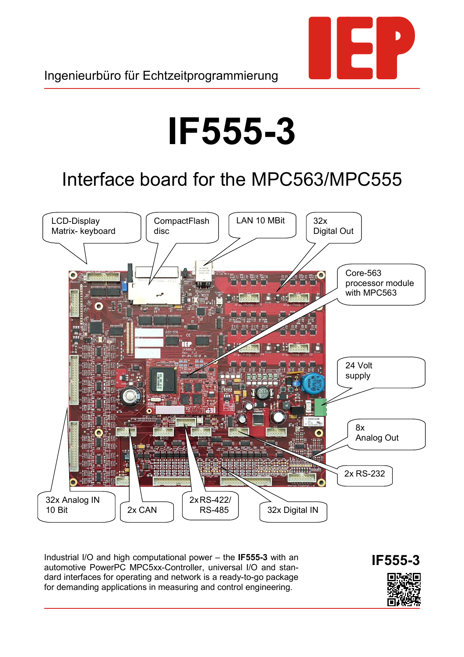

# **IF555-3**

# Interface board for the MPC563/MPC555



Industrial I/O and high computational power – the **IF555-3** with an automotive PowerPC MPC5xx-Controller, universal I/O and standard interfaces for operating and network is a ready-to-go package for demanding applications in measuring and control engineering.

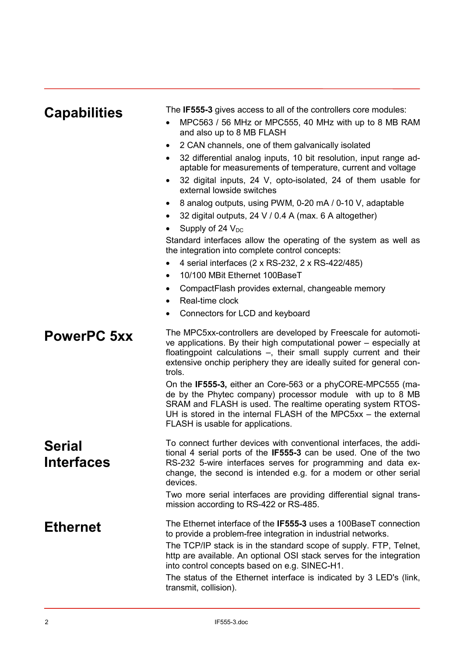| <b>Capabilities</b>         | The IF555-3 gives access to all of the controllers core modules:<br>MPC563 / 56 MHz or MPC555, 40 MHz with up to 8 MB RAM<br>and also up to 8 MB FLASH<br>2 CAN channels, one of them galvanically isolated<br>$\bullet$<br>32 differential analog inputs, 10 bit resolution, input range ad-<br>aptable for measurements of temperature, current and voltage<br>32 digital inputs, 24 V, opto-isolated, 24 of them usable for<br>$\bullet$<br>external lowside switches<br>8 analog outputs, using PWM, 0-20 mA / 0-10 V, adaptable<br>$\bullet$<br>32 digital outputs, 24 V / 0.4 A (max. 6 A altogether)<br>Supply of 24 $V_{DC}$<br>Standard interfaces allow the operating of the system as well as<br>the integration into complete control concepts:<br>4 serial interfaces (2 x RS-232, 2 x RS-422/485)<br>10/100 MBit Ethernet 100BaseT<br>$\bullet$<br>CompactFlash provides external, changeable memory<br>٠<br>Real-time clock<br>Connectors for LCD and keyboard |
|-----------------------------|-------------------------------------------------------------------------------------------------------------------------------------------------------------------------------------------------------------------------------------------------------------------------------------------------------------------------------------------------------------------------------------------------------------------------------------------------------------------------------------------------------------------------------------------------------------------------------------------------------------------------------------------------------------------------------------------------------------------------------------------------------------------------------------------------------------------------------------------------------------------------------------------------------------------------------------------------------------------------------|
| <b>PowerPC 5xx</b>          | The MPC5xx-controllers are developed by Freescale for automoti-<br>ve applications. By their high computational power – especially at<br>floatingpoint calculations -, their small supply current and their<br>extensive onchip periphery they are ideally suited for general con-<br>trols.<br>On the IF555-3, either an Core-563 or a phyCORE-MPC555 (ma-<br>de by the Phytec company) processor module with up to 8 MB<br>SRAM and FLASH is used. The realtime operating system RTOS-<br>UH is stored in the internal FLASH of the MPC5xx - the external<br>FLASH is usable for applications.                                                                                                                                                                                                                                                                                                                                                                              |
| Serial<br><b>Interfaces</b> | To connect further devices with conventional interfaces, the addi-<br>tional 4 serial ports of the IF555-3 can be used. One of the two<br>RS-232 5-wire interfaces serves for programming and data ex-<br>change, the second is intended e.g. for a modem or other serial<br>devices.<br>Two more serial interfaces are providing differential signal trans-<br>mission according to RS-422 or RS-485.                                                                                                                                                                                                                                                                                                                                                                                                                                                                                                                                                                        |
| <b>Ethernet</b>             | The Ethernet interface of the IF555-3 uses a 100BaseT connection<br>to provide a problem-free integration in industrial networks.<br>The TCP/IP stack is in the standard scope of supply. FTP, Telnet,<br>http are available. An optional OSI stack serves for the integration<br>into control concepts based on e.g. SINEC-H1.<br>The status of the Ethernet interface is indicated by 3 LED's (link,<br>transmit, collision).                                                                                                                                                                                                                                                                                                                                                                                                                                                                                                                                               |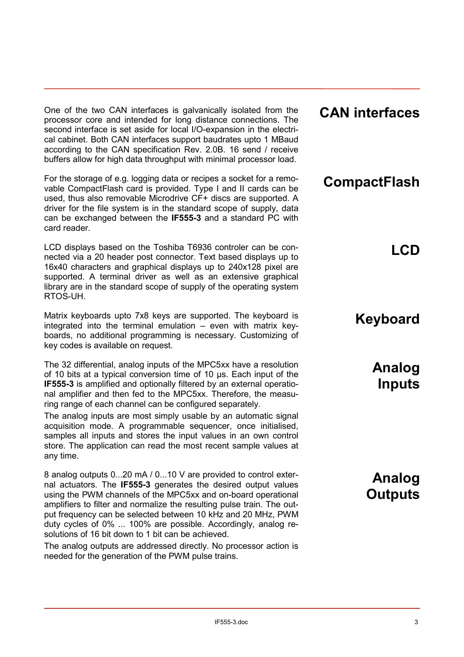One of the two CAN interfaces is galvanically isolated from the processor core and intended for long distance connections. The second interface is set aside for local I/O-expansion in the electrical cabinet. Both CAN interfaces support baudrates upto 1 MBaud according to the CAN specification Rev. 2.0B. 16 send / receive buffers allow for high data throughput with minimal processor load.

For the storage of e.g. logging data or recipes a socket for a removable CompactFlash card is provided. Type I and II cards can be used, thus also removable Microdrive CF+ discs are supported. A driver for the file system is in the standard scope of supply, data can be exchanged between the **IF555-3** and a standard PC with card reader.

LCD displays based on the Toshiba T6936 controler can be connected via a 20 header post connector. Text based displays up to 16x40 characters and graphical displays up to 240x128 pixel are supported. A terminal driver as well as an extensive graphical library are in the standard scope of supply of the operating system RTOS-UH.

Matrix keyboards upto 7x8 keys are supported. The keyboard is integrated into the terminal emulation – even with matrix keyboards, no additional programming is necessary. Customizing of key codes is available on request.

The 32 differential, analog inputs of the MPC5xx have a resolution of 10 bits at a typical conversion time of 10 µs. Each input of the **IF555-3** is amplified and optionally filtered by an external operational amplifier and then fed to the MPC5xx. Therefore, the measuring range of each channel can be configured separately.

The analog inputs are most simply usable by an automatic signal acquisition mode. A programmable sequencer, once initialised, samples all inputs and stores the input values in an own control store. The application can read the most recent sample values at any time.

8 analog outputs 0...20 mA / 0...10 V are provided to control external actuators. The **IF555-3** generates the desired output values using the PWM channels of the MPC5xx and on-board operational amplifiers to filter and normalize the resulting pulse train. The output frequency can be selected between 10 kHz and 20 MHz, PWM duty cycles of 0% ... 100% are possible. Accordingly, analog resolutions of 16 bit down to 1 bit can be achieved.

The analog outputs are addressed directly. No processor action is needed for the generation of the PWM pulse trains.

#### **CAN interfaces**

## **CompactFlash**

**LCD**

### **Keyboard**

**Analog Inputs**

**Analog Outputs**